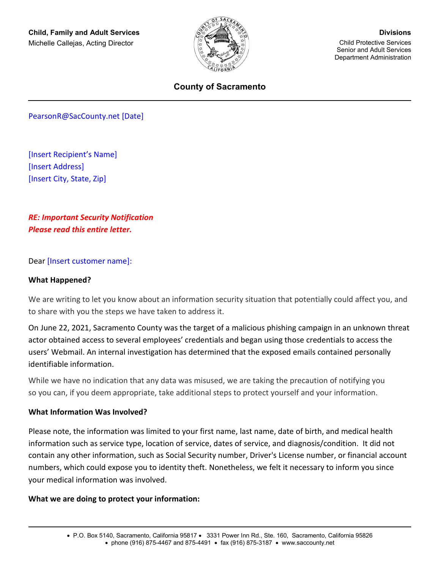

## **County of Sacramento**

PearsonR@SacCounty.net [Date]

[Insert Recipient's Name] [Insert Address] [Insert City, State, Zip]

*RE: Important Security Notification Please read this entire letter.*

#### Dear [Insert customer name]:

#### **What Happened?**

We are writing to let you know about an information security situation that potentially could affect you, and to share with you the steps we have taken to address it.

On June 22, 2021, Sacramento County was the target of a malicious phishing campaign in an unknown threat actor obtained access to several employees' credentials and began using those credentials to access the users' Webmail. An internal investigation has determined that the exposed emails contained personally identifiable information.

While we have no indication that any data was misused, we are taking the precaution of notifying you so you can, if you deem appropriate, take additional steps to protect yourself and your information.

#### **What Information Was Involved?**

Please note, the information was limited to your first name, last name, date of birth, and medical health information such as service type, location of service, dates of service, and diagnosis/condition. It did not contain any other information, such as Social Security number, Driver's License number, or financial account numbers, which could expose you to identity theft. Nonetheless, we felt it necessary to inform you since your medical information was involved.

#### **What we are doing to protect your information:**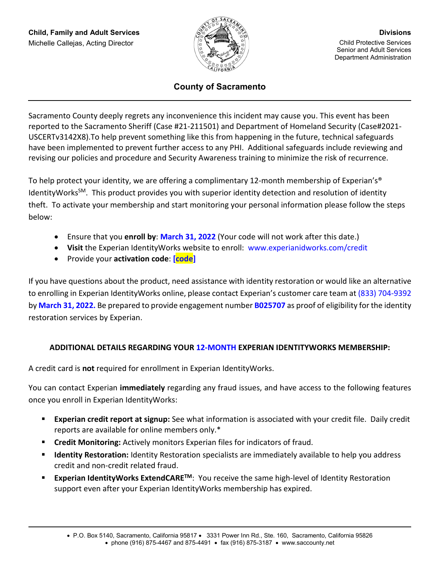

# **County of Sacramento**

Sacramento County deeply regrets any inconvenience this incident may cause you. This event has been reported to the Sacramento Sheriff (Case #21-211501) and Department of Homeland Security (Case#2021- USCERTv3142X8).To help prevent something like this from happening in the future, technical safeguards have been implemented to prevent further access to any PHI. Additional safeguards include reviewing and revising our policies and procedure and Security Awareness training to minimize the risk of recurrence.

To help protect your identity, we are offering a complimentary 12-month membership of Experian's® IdentityWorks<sup>SM</sup>. This product provides you with superior identity detection and resolution of identity theft. To activate your membership and start monitoring your personal information please follow the steps below:

- Ensure that you **enroll by**: **March 31, 2022** (Your code will not work after this date.)
- **Visit** the Experian IdentityWorks website to enroll: www.experianidworks.com/credit
- Provide your **activation code**: **[code]**

If you have questions about the product, need assistance with identity restoration or would like an alternative to enrolling in Experian IdentityWorks online, please contact Experian's customer care team at (833) 704-9392 by **March 31, 2022.** Be prepared to provide engagement number **B025707** as proof of eligibility for the identity restoration services by Experian.

# **ADDITIONAL DETAILS REGARDING YOUR 12-MONTH EXPERIAN IDENTITYWORKS MEMBERSHIP:**

A credit card is **not** required for enrollment in Experian IdentityWorks.

You can contact Experian **immediately** regarding any fraud issues, and have access to the following features once you enroll in Experian IdentityWorks:

- **Experian credit report at signup:** See what information is associated with your credit file. Daily credit reports are available for online members only.\*
- **Credit Monitoring:** Actively monitors Experian files for indicators of fraud.
- **Identity Restoration:** Identity Restoration specialists are immediately available to help you address credit and non-credit related fraud.
- Experian IdentityWorks ExtendCARE<sup>TM</sup>: You receive the same high-level of Identity Restoration support even after your Experian IdentityWorks membership has expired.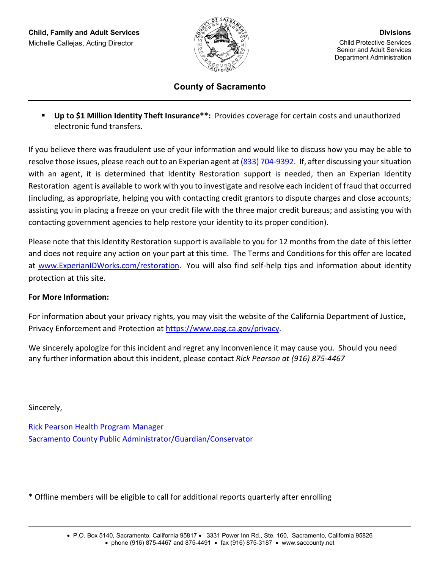

## **County of Sacramento**

 **Up to \$1 Million Identity Theft Insurance\*\*:** Provides coverage for certain costs and unauthorized electronic fund transfers.

If you believe there was fraudulent use of your information and would like to discuss how you may be able to resolve those issues, please reach out to an Experian agent at (833) 704-9392. If, after discussing your situation with an agent, it is determined that Identity Restoration support is needed, then an Experian Identity Restoration agent is available to work with you to investigate and resolve each incident of fraud that occurred (including, as appropriate, helping you with contacting credit grantors to dispute charges and close accounts; assisting you in placing a freeze on your credit file with the three major credit bureaus; and assisting you with contacting government agencies to help restore your identity to its proper condition).

Please note that this Identity Restoration support is available to you for 12 months from the date of this letter and does not require any action on your part at this time. The Terms and Conditions for this offer are located at [www.ExperianIDWorks.com/restoration.](http://www.experianidworks.com/restoration) You will also find self-help tips and information about identity protection at this site.

## **For More Information:**

For information about your privacy rights, you may visit the website of the California Department of Justice, Privacy Enforcement and Protection at [https://www.oag.ca.gov/privacy.](https://www.oag.ca.gov/privacy)

We sincerely apologize for this incident and regret any inconvenience it may cause you. Should you need any further information about this incident, please contact *Rick Pearson at (916) 875-4467*

Sincerely,

Rick Pearson Health Program Manager Sacramento County Public Administrator/Guardian/Conservator

\* Offline members will be eligible to call for additional reports quarterly after enrolling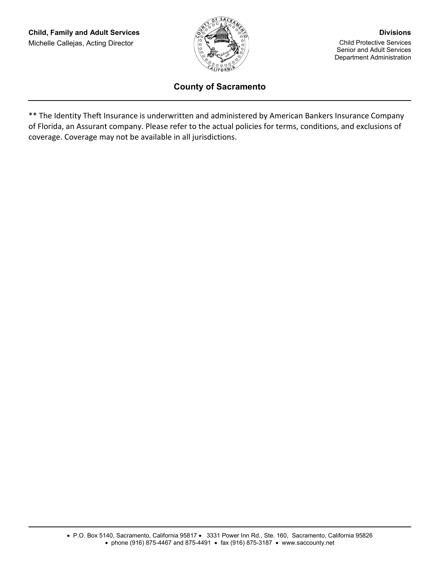

## **County of Sacramento**

\*\* The Identity Theft Insurance is underwritten and administered by American Bankers Insurance Company of Florida, an Assurant company. Please refer to the actual policies for terms, conditions, and exclusions of coverage. Coverage may not be available in all jurisdictions.